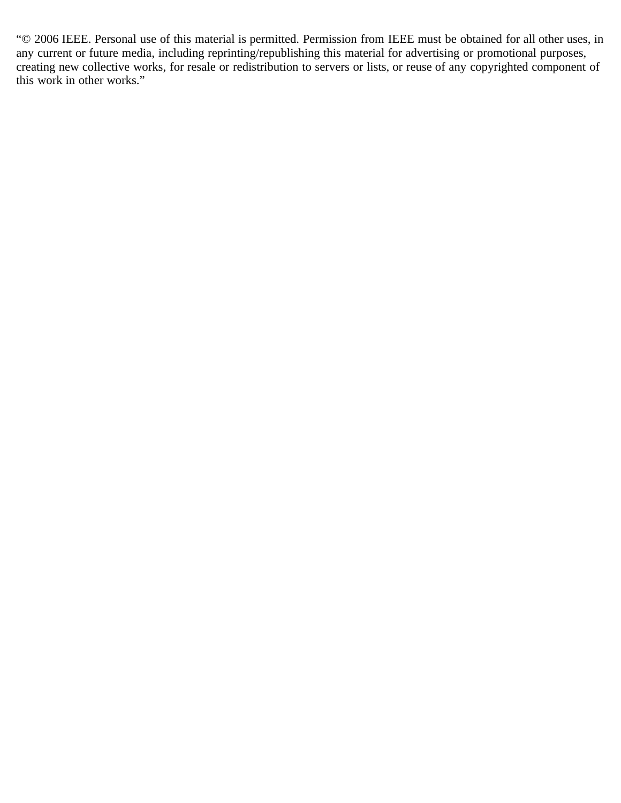"© 2006 IEEE. Personal use of this material is permitted. Permission from IEEE must be obtained for all other uses, in any current or future media, including reprinting/republishing this material for advertising or promotional purposes, creating new collective works, for resale or redistribution to servers or lists, or reuse of any copyrighted component of this work in other works."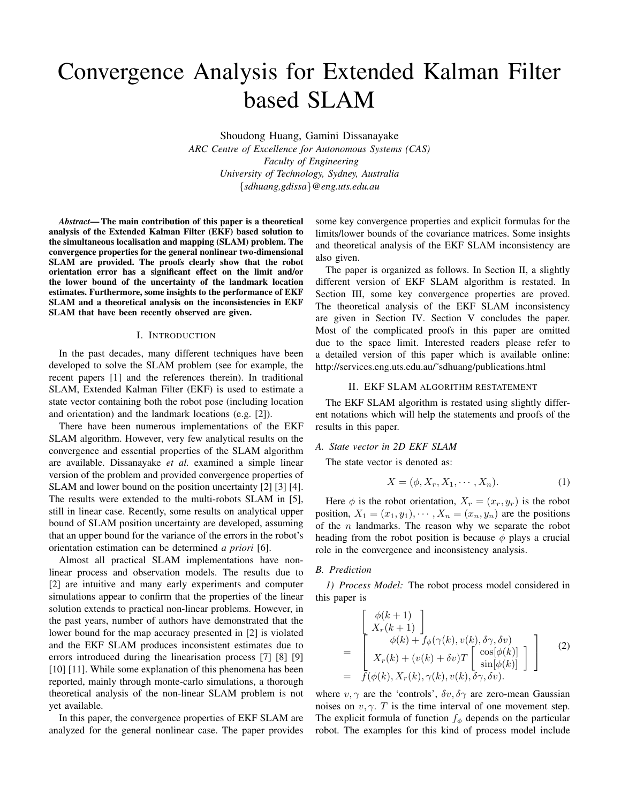# Convergence Analysis for Extended Kalman Filter based SLAM

Shoudong Huang, Gamini Dissanayake *ARC Centre of Excellence for Autonomous Systems (CAS) Faculty of Engineering University of Technology, Sydney, Australia* {*sdhuang,gdissa*}*@eng.uts.edu.au*

*Abstract***— The main contribution of this paper is a theoretical analysis of the Extended Kalman Filter (EKF) based solution to the simultaneous localisation and mapping (SLAM) problem. The convergence properties for the general nonlinear two-dimensional SLAM are provided. The proofs clearly show that the robot orientation error has a significant effect on the limit and/or the lower bound of the uncertainty of the landmark location estimates. Furthermore, some insights to the performance of EKF SLAM and a theoretical analysis on the inconsistencies in EKF SLAM that have been recently observed are given.**

# I. INTRODUCTION

In the past decades, many different techniques have been developed to solve the SLAM problem (see for example, the recent papers [1] and the references therein). In traditional SLAM, Extended Kalman Filter (EKF) is used to estimate a state vector containing both the robot pose (including location and orientation) and the landmark locations (e.g. [2]).

There have been numerous implementations of the EKF SLAM algorithm. However, very few analytical results on the convergence and essential properties of the SLAM algorithm are available. Dissanayake *et al.* examined a simple linear version of the problem and provided convergence properties of SLAM and lower bound on the position uncertainty [2] [3] [4]. The results were extended to the multi-robots SLAM in [5], still in linear case. Recently, some results on analytical upper bound of SLAM position uncertainty are developed, assuming that an upper bound for the variance of the errors in the robot's orientation estimation can be determined *a priori* [6].

Almost all practical SLAM implementations have nonlinear process and observation models. The results due to [2] are intuitive and many early experiments and computer simulations appear to confirm that the properties of the linear solution extends to practical non-linear problems. However, in the past years, number of authors have demonstrated that the lower bound for the map accuracy presented in [2] is violated and the EKF SLAM produces inconsistent estimates due to errors introduced during the linearisation process [7] [8] [9] [10] [11]. While some explanation of this phenomena has been reported, mainly through monte-carlo simulations, a thorough theoretical analysis of the non-linear SLAM problem is not yet available.

In this paper, the convergence properties of EKF SLAM are analyzed for the general nonlinear case. The paper provides

some key convergence properties and explicit formulas for the limits/lower bounds of the covariance matrices. Some insights and theoretical analysis of the EKF SLAM inconsistency are also given.

The paper is organized as follows. In Section II, a slightly different version of EKF SLAM algorithm is restated. In Section III, some key convergence properties are proved. The theoretical analysis of the EKF SLAM inconsistency are given in Section IV. Section V concludes the paper. Most of the complicated proofs in this paper are omitted due to the space limit. Interested readers please refer to a detailed version of this paper which is available online: http://services.eng.uts.edu.au/˜sdhuang/publications.html

### II. EKF SLAM ALGORITHM RESTATEMENT

The EKF SLAM algorithm is restated using slightly different notations which will help the statements and proofs of the results in this paper.

#### *A. State vector in 2D EKF SLAM*

The state vector is denoted as:

$$
X = (\phi, X_r, X_1, \cdots, X_n). \tag{1}
$$

Here  $\phi$  is the robot orientation,  $X_r = (x_r, y_r)$  is the robot position,  $X_1 = (x_1, y_1), \dots, X_n = (x_n, y_n)$  are the positions of the  $n$  landmarks. The reason why we separate the robot heading from the robot position is because  $\phi$  plays a crucial role in the convergence and inconsistency analysis.

## *B. Prediction*

*1) Process Model:* The robot process model considered in this paper is

$$
\begin{aligned}\n&= \begin{bmatrix}\n\phi(k+1) \\
X_r(k+1) \\
\phi(k) + f_\phi(\gamma(k), v(k), \delta\gamma, \delta v) \\
X_r(k) + (v(k) + \delta v)T \begin{bmatrix}\n\cos[\phi(k)] \\
\sin[\phi(k)]\n\end{bmatrix}\n\end{bmatrix}\n\end{aligned} \tag{2}
$$
\n
$$
= f(\phi(k), X_r(k), \gamma(k), v(k), \delta\gamma, \delta v).
$$

where  $v, \gamma$  are the 'controls',  $\delta v, \delta \gamma$  are zero-mean Gaussian noises on  $v, \gamma$ . T is the time interval of one movement step. The explicit formula of function  $f_{\phi}$  depends on the particular robot. The examples for this kind of process model include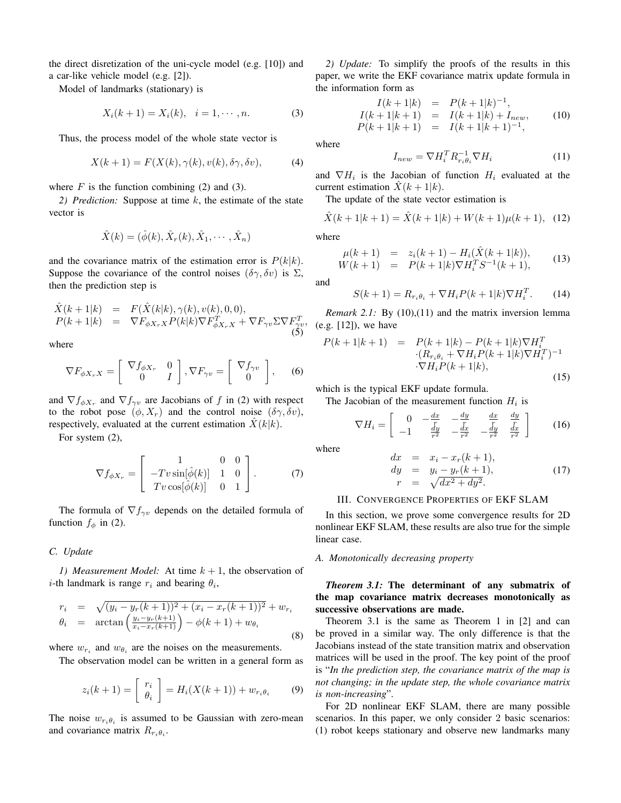the direct disretization of the uni-cycle model (e.g. [10]) and a car-like vehicle model (e.g. [2]).

Model of landmarks (stationary) is

$$
X_i(k+1) = X_i(k), \quad i = 1, \cdots, n.
$$
 (3)

Thus, the process model of the whole state vector is

$$
X(k+1) = F(X(k), \gamma(k), v(k), \delta\gamma, \delta v), \tag{4}
$$

where  $F$  is the function combining (2) and (3).

*2) Prediction:* Suppose at time k, the estimate of the state vector is

$$
\hat{X}(k) = (\hat{\phi}(k), \hat{X}_r(k), \hat{X}_1, \cdots, \hat{X}_n)
$$

and the covariance matrix of the estimation error is  $P(k|k)$ . Suppose the covariance of the control noises  $(\delta \gamma, \delta v)$  is  $\Sigma$ , then the prediction step is

$$
\begin{array}{rcl}\n\hat{X}(k+1|k) & = & F(\hat{X}(k|k), \gamma(k), v(k), 0, 0), \\
P(k+1|k) & = & \nabla F_{\phi X_r X} P(k|k) \nabla F_{\phi X_r X}^T + \nabla F_{\gamma v} \Sigma \nabla F_{\gamma v}^T,\n\end{array} \tag{5}
$$

where

$$
\nabla F_{\phi X_r X} = \begin{bmatrix} \nabla f_{\phi X_r} & 0 \\ 0 & I \end{bmatrix}, \nabla F_{\gamma v} = \begin{bmatrix} \nabla f_{\gamma v} \\ 0 \end{bmatrix}, \quad (6)
$$

and  $\nabla f_{\phi X_r}$  and  $\nabla f_{\gamma v}$  are Jacobians of f in (2) with respect to the robot pose  $(\phi, X_r)$  and the control noise  $(\delta \gamma, \delta v)$ , respectively, evaluated at the current estimation  $\hat{X}(k|k)$ .

For system (2),

$$
\nabla f_{\phi X_r} = \begin{bmatrix} 1 & 0 & 0 \\ -Tv \sin[\hat{\phi}(k)] & 1 & 0 \\ Tv \cos[\hat{\phi}(k)] & 0 & 1 \end{bmatrix}.
$$
 (7)

The formula of  $\nabla f_{\gamma v}$  depends on the detailed formula of function  $f_{\phi}$  in (2).

## *C. Update*

*1) Measurement Model:* At time  $k + 1$ , the observation of *i*-th landmark is range  $r_i$  and bearing  $\theta_i$ ,

$$
r_i = \sqrt{(y_i - y_r(k+1))^2 + (x_i - x_r(k+1))^2} + w_{r_i}
$$
  
\n
$$
\theta_i = \arctan\left(\frac{y_i - y_r(k+1)}{x_i - x_r(k+1)}\right) - \phi(k+1) + w_{\theta_i}
$$
\n(8)

where  $w_{r_i}$  and  $w_{\theta_i}$  are the noises on the measurements.

The observation model can be written in a general form as

$$
z_i(k+1) = \begin{bmatrix} r_i \\ \theta_i \end{bmatrix} = H_i(X(k+1)) + w_{r_i\theta_i} \tag{9}
$$

The noise  $w_{r_i\theta_i}$  is assumed to be Gaussian with zero-mean and covariance matrix  $R_{r_i\theta_i}$ .

*2) Update:* To simplify the proofs of the results in this paper, we write the EKF covariance matrix update formula in the information form as

$$
I(k+1|k) = P(k+1|k)^{-1},
$$
  
\n
$$
I(k+1|k+1) = I(k+1|k) + I_{new},
$$
  
\n
$$
P(k+1|k+1) = I(k+1|k+1)^{-1},
$$
\n(10)

where

$$
I_{new} = \nabla H_i^T R_{r_i \theta_i}^{-1} \nabla H_i \tag{11}
$$

and  $\nabla H_i$  is the Jacobian of function  $H_i$  evaluated at the current estimation  $X(k+1|k)$ .

The update of the state vector estimation is

$$
\hat{X}(k+1|k+1) = \hat{X}(k+1|k) + W(k+1)\mu(k+1), \tag{12}
$$

where

$$
\begin{array}{rcl}\n\mu(k+1) & = & z_i(k+1) - H_i(\hat{X}(k+1|k)), \\
W(k+1) & = & P(k+1|k)\nabla H_i^T S^{-1}(k+1),\n\end{array} \tag{13}
$$

and

$$
S(k+1) = R_{r_i\theta_i} + \nabla H_i P(k+1|k) \nabla H_i^T.
$$
 (14)

*Remark 2.1:* By (10),(11) and the matrix inversion lemma (e.g. [12]), we have

$$
P(k+1|k+1) = P(k+1|k) - P(k+1|k) \nabla H_i^T
$$
  
\n
$$
\cdot (R_{r_i\theta_i} + \nabla H_i P(k+1|k) \nabla H_i^T)^{-1}
$$
  
\n
$$
\cdot \nabla H_i P(k+1|k),
$$
\n(15)

which is the typical EKF update formula.

The Jacobian of the measurement function  $H_i$  is

$$
\nabla H_i = \begin{bmatrix} 0 & -\frac{dx}{x} & -\frac{dy}{x} & \frac{dx}{x} & \frac{dy}{x} \\ -1 & \frac{dy}{r^2} & -\frac{dx}{r^2} & -\frac{dy}{r^2} & \frac{dx}{r^2} \end{bmatrix}
$$
 (16)

where

$$
dx = x_i - x_r(k+1), \n dy = y_i - y_r(k+1), \n r = \sqrt{dx^2 + dy^2}.
$$
\n(17)

### III. CONVERGENCE PROPERTIES OF EKF SLAM

In this section, we prove some convergence results for 2D nonlinear EKF SLAM, these results are also true for the simple linear case.

#### *A. Monotonically decreasing property*

*Theorem 3.1:* **The determinant of any submatrix of the map covariance matrix decreases monotonically as successive observations are made.**

Theorem 3.1 is the same as Theorem 1 in [2] and can be proved in a similar way. The only difference is that the Jacobians instead of the state transition matrix and observation matrices will be used in the proof. The key point of the proof is "*In the prediction step, the covariance matrix of the map is not changing; in the update step, the whole covariance matrix is non-increasing*".

For 2D nonlinear EKF SLAM, there are many possible scenarios. In this paper, we only consider 2 basic scenarios: (1) robot keeps stationary and observe new landmarks many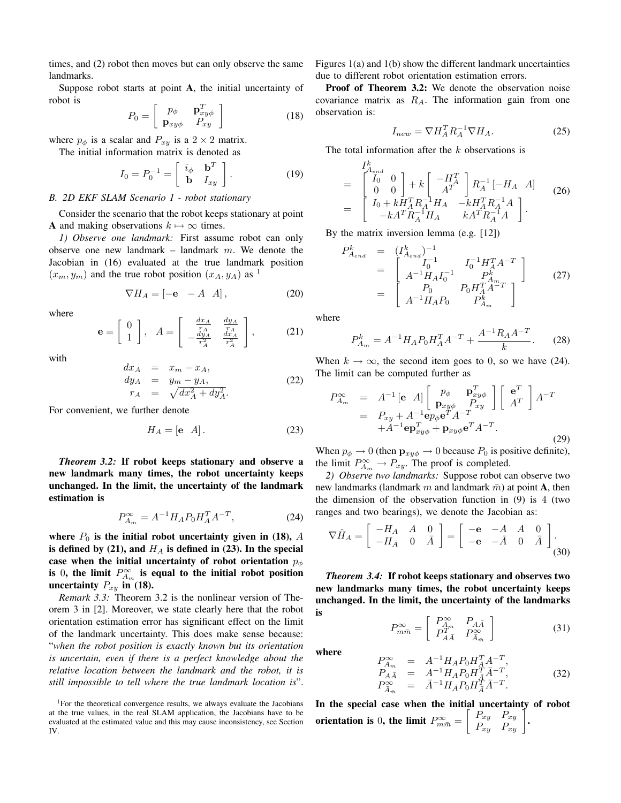times, and (2) robot then moves but can only observe the same landmarks.

Suppose robot starts at point **A**, the initial uncertainty of robot is

$$
P_0 = \left[ \begin{array}{cc} p_{\phi} & \mathbf{p}_{xy\phi}^T \\ \mathbf{p}_{xy\phi} & P_{xy} \end{array} \right] \tag{18}
$$

where  $p_{\phi}$  is a scalar and  $P_{xy}$  is a  $2 \times 2$  matrix.

The initial information matrix is denoted as

$$
I_0 = P_0^{-1} = \begin{bmatrix} i_{\phi} & \mathbf{b}^T \\ \mathbf{b} & I_{xy} \end{bmatrix}.
$$
 (19)

# *B. 2D EKF SLAM Scenario 1 - robot stationary*

Consider the scenario that the robot keeps stationary at point **A** and making observations  $k \mapsto \infty$  times.

*1) Observe one landmark:* First assume robot can only observe one new landmark – landmark  $m$ . We denote the Jacobian in (16) evaluated at the true landmark position  $(x_m, y_m)$  and the true robot position  $(x_A, y_A)$  as <sup>1</sup>

$$
\nabla H_A = \begin{bmatrix} -\mathbf{e} & -A & A \end{bmatrix},\tag{20}
$$

where

$$
\mathbf{e} = \left[ \begin{array}{c} 0 \\ 1 \end{array} \right], \quad A = \left[ \begin{array}{cc} \frac{dx_A}{r_A} & \frac{dy_A}{r_A} \\ -\frac{dy_A}{r_A^2} & \frac{dx_A}{r_A^2} \end{array} \right],\tag{21}
$$

with

$$
dx_A = x_m - x_A,
$$
  
\n
$$
dy_A = y_m - y_A,
$$
  
\n
$$
r_A = \sqrt{dx_A^2 + dy_A^2}.
$$
\n(22)

For convenient, we further denote

$$
H_A = [\mathbf{e} \quad A]. \tag{23}
$$

*Theorem 3.2:* **If robot keeps stationary and observe a new landmark many times, the robot uncertainty keeps unchanged. In the limit, the uncertainty of the landmark estimation is**

$$
P_{A_m}^{\infty} = A^{-1} H_A P_0 H_A^T A^{-T}, \tag{24}
$$

where  $P_0$  is the initial robot uncertainty given in (18),  $A$ is defined by (21), and  $H_A$  is defined in (23). In the special case when the initial uncertainty of robot orientation  $p_{\phi}$ is 0, the limit  $P_{A_m}^{\infty}$  is equal to the initial robot position **uncertainty**  $P_{xy}$  **in** (18).

*Remark 3.3:* Theorem 3.2 is the nonlinear version of Theorem 3 in [2]. Moreover, we state clearly here that the robot orientation estimation error has significant effect on the limit of the landmark uncertainty. This does make sense because: "*when the robot position is exactly known but its orientation is uncertain, even if there is a perfect knowledge about the relative location between the landmark and the robot, it is still impossible to tell where the true landmark location is*".

Figures 1(a) and 1(b) show the different landmark uncertainties due to different robot orientation estimation errors.

**Proof of Theorem 3.2:** We denote the observation noise covariance matrix as  $R_A$ . The information gain from one observation is:

$$
I_{new} = \nabla H_A^T R_A^{-1} \nabla H_A. \tag{25}
$$

The total information after the  $k$  observations is

$$
= \begin{bmatrix} I_{A_{end}}^{\alpha} & 0 \\ 0 & 0 \\ I_0 + kH_A^T R_A^{-1} H_A & -kH_A^T R_A^{-1} A \\ -kA^T R_A^{-1} H_A & kA^T R_A^{-1} A \\ -kA^T R_A^{-1} H_A & kA^T R_A^{-1} A \end{bmatrix} (26)
$$

By the matrix inversion lemma (e.g. [12])

 $\overline{\phantom{a}}$ 

$$
P_{A_{end}}^{k} = \begin{bmatrix} (I_{A_{end}}^{k})^{-1} \\ = \begin{bmatrix} I_{0}^{-1} & I_{0}^{-1} H_{A}^{T} A^{-T} \\ A^{-1} H_{A} I_{0}^{-1} & P_{A_{m}}^{k} \\ P_{0} & P_{0} H_{A}^{T} A^{-T} \\ A^{-1} H_{A} P_{0} & P_{A_{m}}^{k} \end{bmatrix}
$$
(27)

where

$$
P_{A_m}^k = A^{-1} H_A P_0 H_A^T A^{-T} + \frac{A^{-1} R_A A^{-T}}{k}.
$$
 (28)

When  $k \to \infty$ , the second item goes to 0, so we have (24). The limit can be computed further as

$$
P_{A_m}^{\infty} = A^{-1} \begin{bmatrix} e & A \end{bmatrix} \begin{bmatrix} p_{\phi} & \mathbf{p}_{xy\phi}^T \\ \mathbf{p}_{xy\phi} & P_{xy} \end{bmatrix} \begin{bmatrix} \mathbf{e}^T \\ A^T \end{bmatrix} A^{-T}
$$
  
=  $P_{xy} + A^{-1} \mathbf{e} p_{\phi} \mathbf{e}^T A^{-T}$   
+  $A^{-1} \mathbf{e} \mathbf{p}_{xy\phi}^T + \mathbf{p}_{xy\phi} \mathbf{e}^T A^{-T}$ . (29)

When  $p_{\phi} \rightarrow 0$  (then  $\mathbf{p}_{xy\phi} \rightarrow 0$  because  $P_0$  is positive definite), the limit  $P_{A_m}^{\infty} \to P_{xy}$ . The proof is completed.

*2) Observe two landmarks:* Suppose robot can observe two new landmarks (landmark m and landmark  $\bar{m}$ ) at point **A**, then the dimension of the observation function in (9) is 4 (two ranges and two bearings), we denote the Jacobian as:

$$
\nabla \hat{H}_A = \begin{bmatrix} -H_A & A & 0 \\ -H_{\bar{A}} & 0 & \bar{A} \end{bmatrix} = \begin{bmatrix} -\mathbf{e} & -A & A & 0 \\ -\mathbf{e} & -\bar{A} & 0 & \bar{A} \end{bmatrix} . \tag{30}
$$

*Theorem 3.4:* **If robot keeps stationary and observes two new landmarks many times, the robot uncertainty keeps unchanged. In the limit, the uncertainty of the landmarks is**

$$
P_{m\bar{m}}^{\infty} = \left[ \begin{array}{cc} P_{\bar{A}m}^{\infty} & P_{A\bar{A}} \\ P_{A\bar{A}}^{T} & P_{\bar{A}_{\bar{m}}}^{\infty} \end{array} \right] \tag{31}
$$

**where**

$$
P_{A_m}^{\infty} = A^{-1} H_A P_0 H_A^T A^{-T},
$$
  
\n
$$
P_{A \bar{A}}^{\infty} = A^{-1} H_A P_0 H_A^T \bar{A}^{-T},
$$
  
\n
$$
P_{\bar{A}_m}^{\infty} = \bar{A}^{-1} H_{\bar{A}} P_0 H_{\bar{A}}^T \bar{A}^{-T}.
$$
\n(32)

**In the special case when the initial uncertainty of robot orientation is** 0, the limit  $P_{m\bar{m}}^{\infty} =$  $\left[\begin{array}{cc} P_{xy} & P_{xy} \ P_{xy} & P_{xy} \end{array}\right]$ 

<sup>&</sup>lt;sup>1</sup>For the theoretical convergence results, we always evaluate the Jacobians at the true values, in the real SLAM application, the Jacobians have to be evaluated at the estimated value and this may cause inconsistency, see Section IV.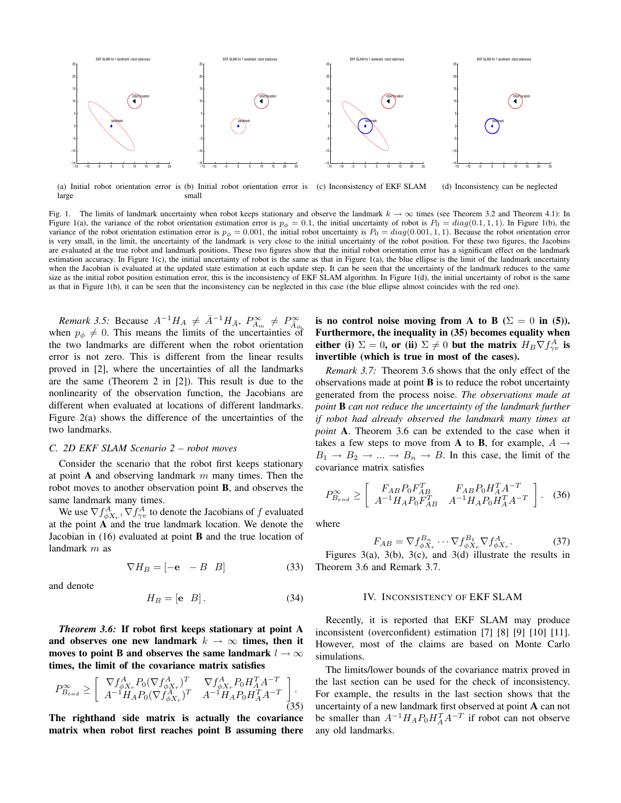

(a) Initial robot orientation error is (b) Initial robot orientation error is (c) Inconsistency of EKF SLAM large small (d) Inconsistency can be neglected

Fig. 1. The limits of landmark uncertainty when robot keeps stationary and observe the landmark  $k \to \infty$  times (see Theorem 3.2 and Theorem 4.1): In Figure 1(a), the variance of the robot orientation estimation error is  $p_{\phi} = 0.1$ , the initial uncertainty of robot is  $P_0 = diag(0.1, 1, 1)$ . In Figure 1(b), the variance of the robot orientation estimation error is  $p_{\phi} = 0.001$ , the initial robot uncertainty is  $P_0 = diag(0.001, 1, 1)$ . Because the robot orientation error is very small, in the limit, the uncertainty of the landmark is very close to the initial uncertainty of the robot position. For these two figures, the Jacobins are evaluated at the true robot and landmark positions. These two figures show that the initial robot orientation error has a significant effect on the landmark estimation accuracy. In Figure 1(c), the initial uncertainty of robot is the same as that in Figure 1(a), the blue ellipse is the limit of the landmark uncertainty when the Jacobian is evaluated at the updated state estimation at each update step. It can be seen that the uncertainty of the landmark reduces to the same size as the initial robot position estimation error, this is the inconsistency of EKF SLAM algorithm. In Figure 1(d), the initial uncertainty of robot is the same as that in Figure 1(b), it can be seen that the inconsistency can be neglected in this case (the blue ellipse almost coincides with the red one).

*Remark 3.5:* Because  $A^{-1}H_A \neq \overline{A}^{-1}H_{\overline{A}}$ ,  $P_{A_m}^{\infty} \neq P_{\overline{A}_m}^{\infty}$ <br>when  $p_{\phi} \neq 0$ . This means the limits of the uncertainties of the two landmarks are different when the robot orientation error is not zero. This is different from the linear results proved in [2], where the uncertainties of all the landmarks are the same (Theorem 2 in [2]). This result is due to the nonlinearity of the observation function, the Jacobians are different when evaluated at locations of different landmarks. Figure 2(a) shows the difference of the uncertainties of the two landmarks.

# *C. 2D EKF SLAM Scenario 2 – robot moves*

Consider the scenario that the robot first keeps stationary at point **A** and observing landmark m many times. Then the robot moves to another observation point **B**, and observes the same landmark many times.

We use  $\nabla f_{\phi X_r}^A$ ,  $\nabla f_{\gamma v}^A$  to denote the Jacobians of f evaluated at the point **A** and the true landmark location. We denote the Jacobian in (16) evaluated at point **B** and the true location of landmark m as

$$
\nabla H_B = \begin{bmatrix} -\mathbf{e} & -B & B \end{bmatrix} \tag{33}
$$

and denote

$$
H_B = [\mathbf{e} \quad B]. \tag{34}
$$

*Theorem 3.6:* **If robot first keeps stationary at point A** and observes one new landmark  $k \to \infty$  times, then it **moves to point B and observes the same landmark**  $l \rightarrow \infty$ **times, the limit of the covariance matrix satisfies**

$$
P_{B_{end}}^{\infty} \geq \begin{bmatrix} \nabla f_{\phi X_r}^A P_0 (\nabla f_{\phi X_r}^A)^T & \nabla f_{\phi X_r}^A P_0 H_A^T A^{-T} \\ A^{-1} H_A P_0 (\nabla f_{\phi X_r}^A)^T & A^{-1} H_A P_0 H_A^T A^{-T} \end{bmatrix} .
$$
\n(35)

**The righthand side matrix is actually the covariance matrix when robot first reaches point B assuming there**

is no control noise moving from A to B  $(\Sigma = 0 \text{ in } (5)).$ **Furthermore, the inequality in (35) becomes equality when either (i)**  $\Sigma = 0$ , **or (ii)**  $\Sigma \neq 0$  but the matrix  $H_B \nabla f_{\gamma v}^A$  is **invertible (which is true in most of the cases).**

*Remark 3.7:* Theorem 3.6 shows that the only effect of the observations made at point **B** is to reduce the robot uncertainty generated from the process noise. *The observations made at point* **B** *can not reduce the uncertainty of the landmark further if robot had already observed the landmark many times at point* **A**. Theorem 3.6 can be extended to the case when it takes a few steps to move from **A** to **B**, for example,  $A \rightarrow$  $B_1 \rightarrow B_2 \rightarrow \dots \rightarrow B_n \rightarrow B$ . In this case, the limit of the covariance matrix satisfies

$$
P_{B_{end}}^{\infty} \ge \left[ \begin{array}{cc} F_{AB} P_0 F_{AB}^T & F_{AB} P_0 H_A^T A^{-T} \\ A^{-1} H_A P_0 F_{AB}^T & A^{-1} H_A P_0 H_A^T A^{-T} \end{array} \right]. \tag{36}
$$

where

$$
F_{AB} = \nabla f_{\phi X_r}^{B_n} \cdots \nabla f_{\phi X_r}^{B_1} \nabla f_{\phi X_r}^A.
$$
 (37)

Figures 3(a), 3(b), 3(c), and 3(d) illustrate the results in Theorem 3.6 and Remark 3.7.

# IV. INCONSISTENCY OF EKF SLAM

Recently, it is reported that EKF SLAM may produce inconsistent (overconfident) estimation [7] [8] [9] [10] [11]. However, most of the claims are based on Monte Carlo simulations.

The limits/lower bounds of the covariance matrix proved in the last section can be used for the check of inconsistency. For example, the results in the last section shows that the uncertainty of a new landmark first observed at point **A** can not be smaller than  $A^{-1}H_A P_0 H_A^T A^{-T}$  if robot can not observe any old landmarks.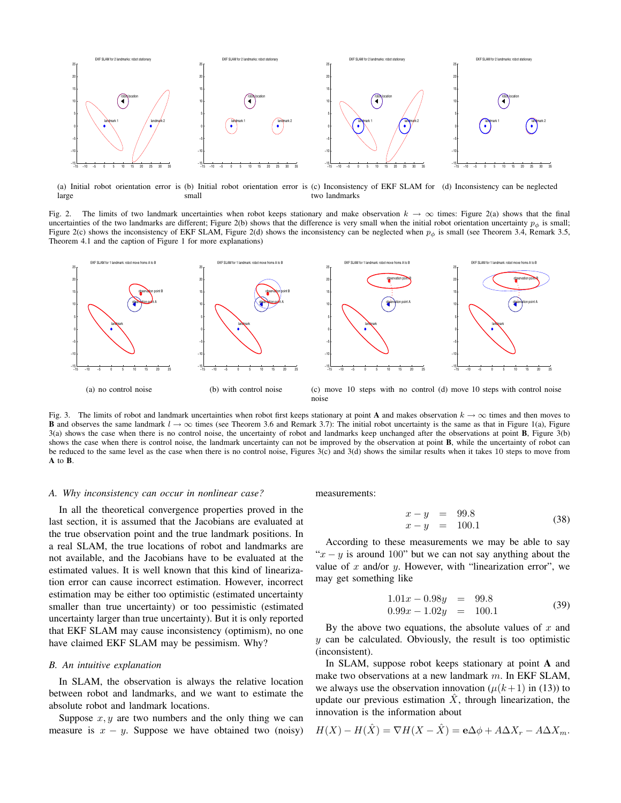

(a) Initial robot orientation error is (b) Initial robot orientation error is (c) Inconsistency of EKF SLAM for (d) Inconsistency can be neglected large small two landmarks

Fig. 2. The limits of two landmark uncertainties when robot keeps stationary and make observation  $k \to \infty$  times: Figure 2(a) shows that the final uncertainties of the two landmarks are different; Figure 2(b) shows that the difference is very small when the initial robot orientation uncertainty  $p_{\phi}$  is small; Figure 2(c) shows the inconsistency of EKF SLAM, Figure 2(d) shows the inconsistency can be neglected when  $p_{\phi}$  is small (see Theorem 3.4, Remark 3.5, Theorem 4.1 and the caption of Figure 1 for more explanations)



Fig. 3. The limits of robot and landmark uncertainties when robot first keeps stationary at point **A** and makes observation  $k \to \infty$  times and then moves to **B** and observes the same landmark  $l \to \infty$  times (see Theorem 3.6 and Remark 3.7): The initial robot uncertainty is the same as that in Figure 1(a), Figure 3(a) shows the case when there is no control noise, the uncertainty of robot and landmarks keep unchanged after the observations at point **B**, Figure 3(b) shows the case when there is control noise, the landmark uncertainty can not be improved by the observation at point **B**, while the uncertainty of robot can be reduced to the same level as the case when there is no control noise, Figures 3(c) and 3(d) shows the similar results when it takes 10 steps to move from **A** to **B**.

#### *A. Why inconsistency can occur in nonlinear case?*

In all the theoretical convergence properties proved in the last section, it is assumed that the Jacobians are evaluated at the true observation point and the true landmark positions. In a real SLAM, the true locations of robot and landmarks are not available, and the Jacobians have to be evaluated at the estimated values. It is well known that this kind of linearization error can cause incorrect estimation. However, incorrect estimation may be either too optimistic (estimated uncertainty smaller than true uncertainty) or too pessimistic (estimated uncertainty larger than true uncertainty). But it is only reported that EKF SLAM may cause inconsistency (optimism), no one have claimed EKF SLAM may be pessimism. Why?

#### *B. An intuitive explanation*

In SLAM, the observation is always the relative location between robot and landmarks, and we want to estimate the absolute robot and landmark locations.

Suppose  $x, y$  are two numbers and the only thing we can measure is  $x - y$ . Suppose we have obtained two (noisy) measurements:

$$
\begin{array}{rcl}\nx - y & = & 99.8 \\
x - y & = & 100.1\n\end{array} \tag{38}
$$

According to these measurements we may be able to say " $x - y$  is around 100" but we can not say anything about the value of  $x$  and/or  $y$ . However, with "linearization error", we may get something like

$$
1.01x - 0.98y = 99.8
$$
  

$$
0.99x - 1.02y = 100.1
$$
 (39)

By the above two equations, the absolute values of  $x$  and  $y$  can be calculated. Obviously, the result is too optimistic (inconsistent).

In SLAM, suppose robot keeps stationary at point **A** and make two observations at a new landmark  $m$ . In EKF SLAM, we always use the observation innovation ( $\mu(k+1)$  in (13)) to update our previous estimation  $\hat{X}$ , through linearization, the innovation is the information about

$$
H(X) - H(\hat{X}) = \nabla H(X - \hat{X}) = \mathbf{e}\Delta\phi + A\Delta X_r - A\Delta X_m.
$$